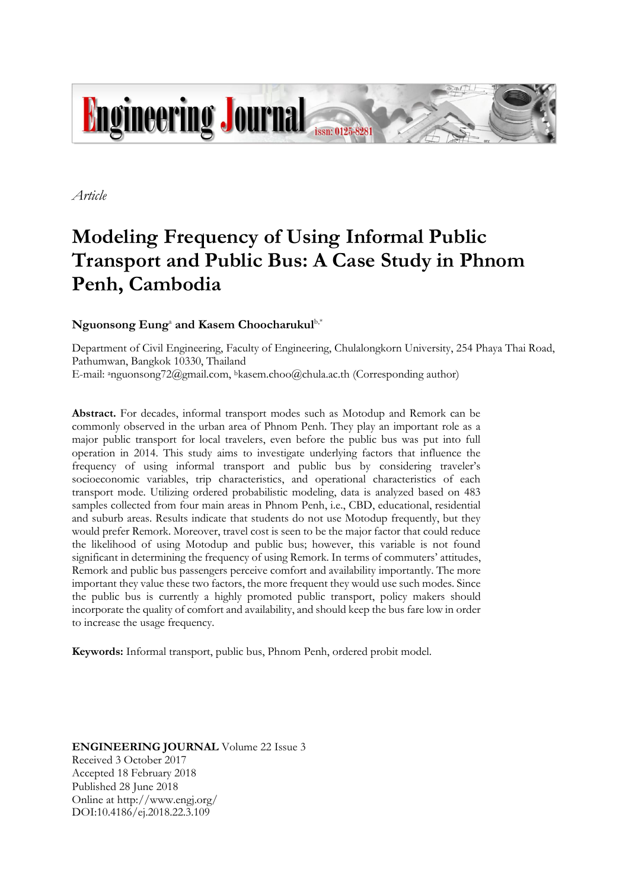

*Article*

# **Modeling Frequency of Using Informal Public Transport and Public Bus: A Case Study in Phnom Penh, Cambodia**

# ${\bf N}$ guonsong  ${\bf E}$ ung<sup>a</sup> and Kasem Choocharukul ${\rm b}^*$

Department of Civil Engineering, Faculty of Engineering, Chulalongkorn University, 254 Phaya Thai Road, Pathumwan, Bangkok 10330, Thailand E-mail: anguonsong72@gmail.com, bkasem.choo@chula.ac.th (Corresponding author)

**Abstract.** For decades, informal transport modes such as Motodup and Remork can be commonly observed in the urban area of Phnom Penh. They play an important role as a major public transport for local travelers, even before the public bus was put into full operation in 2014. This study aims to investigate underlying factors that influence the frequency of using informal transport and public bus by considering traveler's socioeconomic variables, trip characteristics, and operational characteristics of each transport mode. Utilizing ordered probabilistic modeling, data is analyzed based on 483 samples collected from four main areas in Phnom Penh, i.e., CBD, educational, residential and suburb areas. Results indicate that students do not use Motodup frequently, but they would prefer Remork. Moreover, travel cost is seen to be the major factor that could reduce the likelihood of using Motodup and public bus; however, this variable is not found significant in determining the frequency of using Remork. In terms of commuters' attitudes, Remork and public bus passengers perceive comfort and availability importantly. The more important they value these two factors, the more frequent they would use such modes. Since the public bus is currently a highly promoted public transport, policy makers should incorporate the quality of comfort and availability, and should keep the bus fare low in order to increase the usage frequency.

**Keywords:** Informal transport, public bus, Phnom Penh, ordered probit model.

**ENGINEERING JOURNAL** Volume 22 Issue 3 Received 3 October 2017 Accepted 18 February 2018 Published 28 June 2018 Online at http://www.engj.org/ DOI:10.4186/ej.2018.22.3.109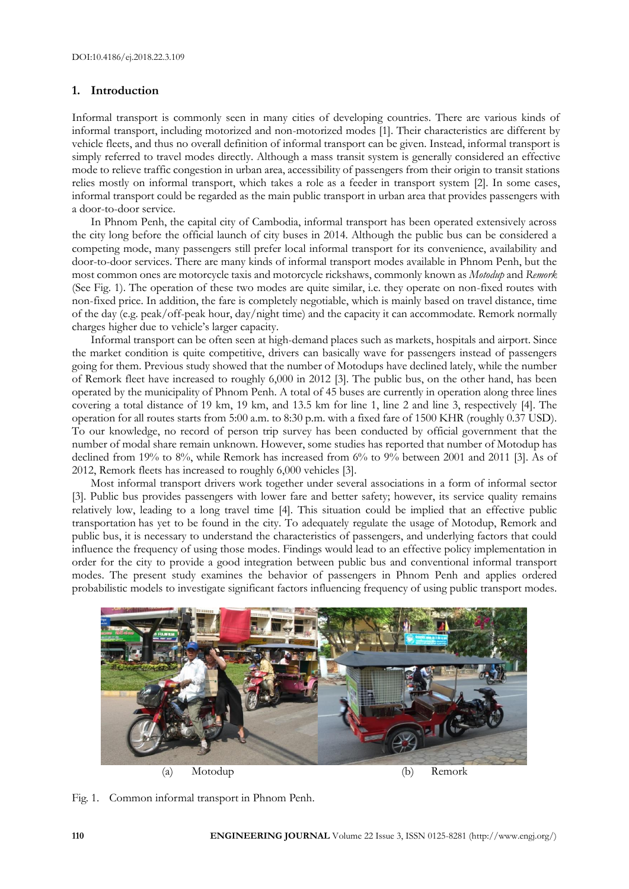## **1. Introduction**

Informal transport is commonly seen in many cities of developing countries. There are various kinds of informal transport, including motorized and non-motorized modes [1]. Their characteristics are different by vehicle fleets, and thus no overall definition of informal transport can be given. Instead, informal transport is simply referred to travel modes directly. Although a mass transit system is generally considered an effective mode to relieve traffic congestion in urban area, accessibility of passengers from their origin to transit stations relies mostly on informal transport, which takes a role as a feeder in transport system [2]. In some cases, informal transport could be regarded as the main public transport in urban area that provides passengers with a door-to-door service.

In Phnom Penh, the capital city of Cambodia, informal transport has been operated extensively across the city long before the official launch of city buses in 2014. Although the public bus can be considered a competing mode, many passengers still prefer local informal transport for its convenience, availability and door-to-door services. There are many kinds of informal transport modes available in Phnom Penh, but the most common ones are motorcycle taxis and motorcycle rickshaws, commonly known as *Motodup* and *Remork* (See Fig. 1). The operation of these two modes are quite similar, i.e. they operate on non-fixed routes with non-fixed price. In addition, the fare is completely negotiable, which is mainly based on travel distance, time of the day (e.g. peak/off-peak hour, day/night time) and the capacity it can accommodate. Remork normally charges higher due to vehicle's larger capacity.

Informal transport can be often seen at high-demand places such as markets, hospitals and airport. Since the market condition is quite competitive, drivers can basically wave for passengers instead of passengers going for them. Previous study showed that the number of Motodups have declined lately, while the number of Remork fleet have increased to roughly 6,000 in 2012 [3]. The public bus, on the other hand, has been operated by the municipality of Phnom Penh. A total of 45 buses are currently in operation along three lines covering a total distance of 19 km, 19 km, and 13.5 km for line 1, line 2 and line 3, respectively [4]. The operation for all routes starts from 5:00 a.m. to 8:30 p.m. with a fixed fare of 1500 KHR (roughly 0.37 USD). To our knowledge, no record of person trip survey has been conducted by official government that the number of modal share remain unknown. However, some studies has reported that number of Motodup has declined from 19% to 8%, while Remork has increased from 6% to 9% between 2001 and 2011 [3]. As of 2012, Remork fleets has increased to roughly 6,000 vehicles [3].

Most informal transport drivers work together under several associations in a form of informal sector [3]. Public bus provides passengers with lower fare and better safety; however, its service quality remains relatively low, leading to a long travel time [4]. This situation could be implied that an effective public transportation has yet to be found in the city. To adequately regulate the usage of Motodup, Remork and public bus, it is necessary to understand the characteristics of passengers, and underlying factors that could influence the frequency of using those modes. Findings would lead to an effective policy implementation in order for the city to provide a good integration between public bus and conventional informal transport modes. The present study examines the behavior of passengers in Phnom Penh and applies ordered probabilistic models to investigate significant factors influencing frequency of using public transport modes.



Fig. 1. Common informal transport in Phnom Penh.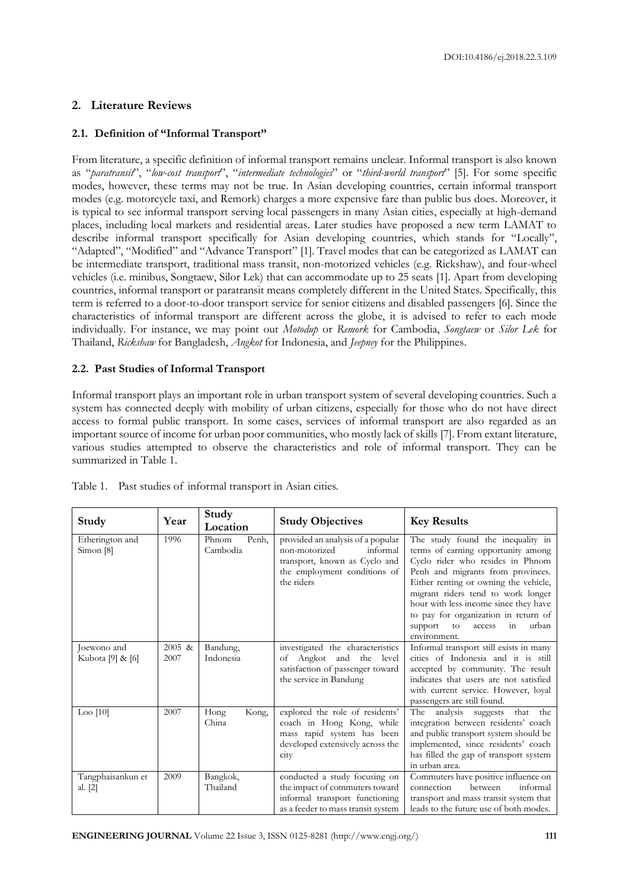## **2. Literature Reviews**

## **2.1. Definition of "Informal Transport"**

From literature, a specific definition of informal transport remains unclear. Informal transport is also known as "*paratransit*", "*low-cost transport*", "*intermediate technologies*" or "*third-world transport*" [5]. For some specific modes, however, these terms may not be true. In Asian developing countries, certain informal transport modes (e.g. motorcycle taxi, and Remork) charges a more expensive fare than public bus does. Moreover, it is typical to see informal transport serving local passengers in many Asian cities, especially at high-demand places, including local markets and residential areas. Later studies have proposed a new term LAMAT to describe informal transport specifically for Asian developing countries, which stands for "Locally", "Adapted", "Modified" and "Advance Transport" [1]. Travel modes that can be categorized as LAMAT can be intermediate transport, traditional mass transit, non-motorized vehicles (e.g. Rickshaw), and four-wheel vehicles (i.e. minibus, Songtaew, Silor Lek) that can accommodate up to 25 seats [1]. Apart from developing countries, informal transport or paratransit means completely different in the United States. Specifically, this term is referred to a door-to-door transport service for senior citizens and disabled passengers [6]. Since the characteristics of informal transport are different across the globe, it is advised to refer to each mode individually. For instance, we may point out *Motodup* or *Remork* for Cambodia, *Songtaew* or *Silor Lek* for Thailand, *Rickshaw* for Bangladesh, *Angkot* for Indonesia, and *Jeepney* for the Philippines.

## **2.2. Past Studies of Informal Transport**

Informal transport plays an important role in urban transport system of several developing countries. Such a system has connected deeply with mobility of urban citizens, especially for those who do not have direct access to formal public transport. In some cases, services of informal transport are also regarded as an important source of income for urban poor communities, who mostly lack of skills [7]. From extant literature, various studies attempted to observe the characteristics and role of informal transport. They can be summarized in Table 1.

| Study                           | Year           | Study<br>Location          | <b>Study Objectives</b>                                                                                                                       | <b>Key Results</b>                                                                                                                                                                                                                                                                                                                                                         |
|---------------------------------|----------------|----------------------------|-----------------------------------------------------------------------------------------------------------------------------------------------|----------------------------------------------------------------------------------------------------------------------------------------------------------------------------------------------------------------------------------------------------------------------------------------------------------------------------------------------------------------------------|
| Etherington and<br>Simon [8]    | 1996           | Phnom<br>Penh,<br>Cambodia | provided an analysis of a popular<br>non-motorized<br>informal<br>transport, known as Cyclo and<br>the employment conditions of<br>the riders | The study found the inequality in<br>terms of earning opportunity among<br>Cyclo rider who resides in Phnom<br>Penh and migrants from provinces.<br>Either renting or owning the vehicle,<br>migrant riders tend to work longer<br>hour with less income since they have<br>to pay for organization in return of<br>urban<br>support<br>to<br>access<br>in<br>environment. |
| Joewono and<br>Kubota [9] & [6] | 2005 &<br>2007 | Bandung,<br>Indonesia      | investigated the characteristics<br>Angkot and the<br>level<br>оf<br>satisfaction of passenger toward<br>the service in Bandung               | Informal transport still exists in many<br>cities of Indonesia and it is still<br>accepted by community. The result<br>indicates that users are not satisfied<br>with current service. However, loyal<br>passengers are still found.                                                                                                                                       |
| $\text{Loop } [10]$             | 2007           | Kong,<br>Hong<br>China     | explored the role of residents'<br>coach in Hong Kong, while<br>mass rapid system has been<br>developed extensively across the<br>city        | The analysis suggests<br>that the<br>integration between residents' coach<br>and public transport system should be<br>implemented, since residents' coach<br>has filled the gap of transport system<br>in urban area.                                                                                                                                                      |
| Tangphaisankun et<br>al. [2]    | 2009           | Bangkok,<br>Thailand       | conducted a study focusing on<br>the impact of commuters toward<br>informal transport functioning<br>as a feeder to mass transit system       | Commuters have positive influence on<br>between<br>informal<br>connection<br>transport and mass transit system that<br>leads to the future use of both modes.                                                                                                                                                                                                              |

Table 1. Past studies of informal transport in Asian cities.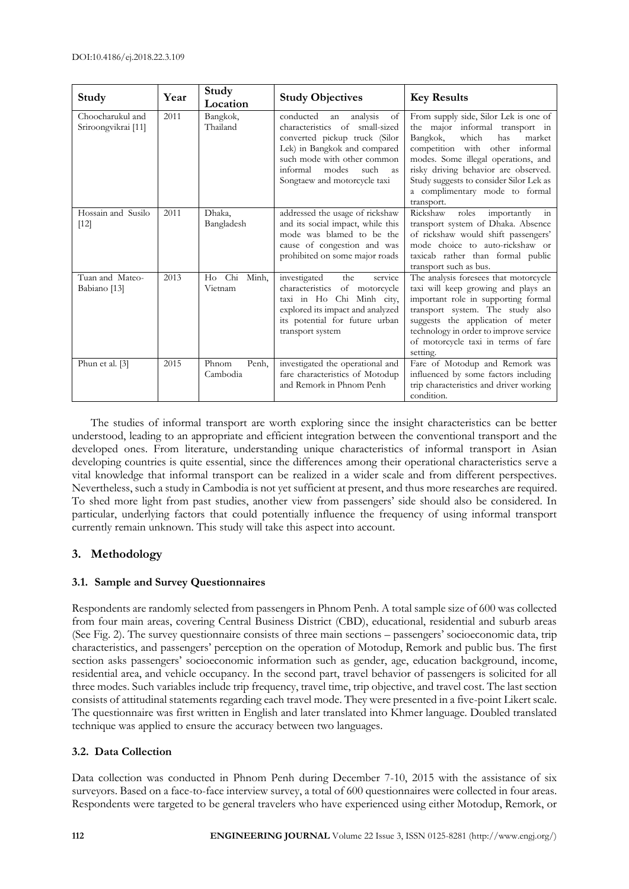| Study                                   | Year | Study<br>Location          | <b>Study Objectives</b>                                                                                                                                                                                                                       | <b>Key Results</b>                                                                                                                                                                                                                                                                                                          |
|-----------------------------------------|------|----------------------------|-----------------------------------------------------------------------------------------------------------------------------------------------------------------------------------------------------------------------------------------------|-----------------------------------------------------------------------------------------------------------------------------------------------------------------------------------------------------------------------------------------------------------------------------------------------------------------------------|
| Choocharukul and<br>Sriroongvikrai [11] | 2011 | Bangkok,<br>Thailand       | conducted<br>analysis<br>of<br>an<br>characteristics of small-sized<br>converted pickup truck (Silor<br>Lek) in Bangkok and compared<br>such mode with other common<br>informal<br>such<br>modes<br><b>as</b><br>Songtaew and motorcycle taxi | From supply side, Silor Lek is one of<br>the major informal transport in<br>which<br>Bangkok,<br>has<br>market<br>competition with other informal<br>modes. Some illegal operations, and<br>risky driving behavior are observed.<br>Study suggests to consider Silor Lek as<br>a complimentary mode to formal<br>transport. |
| Hossain and Susilo<br>$[12]$            | 2011 | Dhaka,<br>Bangladesh       | addressed the usage of rickshaw<br>and its social impact, while this<br>mode was blamed to be the<br>cause of congestion and was<br>prohibited on some major roads                                                                            | Rickshaw<br>roles<br>importantly<br>$\sin$<br>transport system of Dhaka. Absence<br>of rickshaw would shift passengers'<br>mode choice to auto-rickshaw or<br>taxicab rather than formal public<br>transport such as bus.                                                                                                   |
| Tuan and Mateo-<br>Babiano [13]         | 2013 | Ho Chi<br>Minh,<br>Vietnam | investigated<br>service<br>the<br>characteristics of motorcycle<br>taxi in Ho Chi Minh city,<br>explored its impact and analyzed<br>its potential for future urban<br>transport system                                                        | The analysis foresees that motorcycle<br>taxi will keep growing and plays an<br>important role in supporting formal<br>transport system. The study also<br>suggests the application of meter<br>technology in order to improve service<br>of motorcycle taxi in terms of fare<br>setting.                                   |
| Phun et al. [3]                         | 2015 | Penh,<br>Phnom<br>Cambodia | investigated the operational and<br>fare characteristics of Motodup<br>and Remork in Phnom Penh                                                                                                                                               | Fare of Motodup and Remork was<br>influenced by some factors including<br>trip characteristics and driver working<br>condition.                                                                                                                                                                                             |

The studies of informal transport are worth exploring since the insight characteristics can be better understood, leading to an appropriate and efficient integration between the conventional transport and the developed ones. From literature, understanding unique characteristics of informal transport in Asian developing countries is quite essential, since the differences among their operational characteristics serve a vital knowledge that informal transport can be realized in a wider scale and from different perspectives. Nevertheless, such a study in Cambodia is not yet sufficient at present, and thus more researches are required. To shed more light from past studies, another view from passengers' side should also be considered. In particular, underlying factors that could potentially influence the frequency of using informal transport currently remain unknown. This study will take this aspect into account.

## **3. Methodology**

## **3.1. Sample and Survey Questionnaires**

Respondents are randomly selected from passengers in Phnom Penh. A total sample size of 600 was collected from four main areas, covering Central Business District (CBD), educational, residential and suburb areas (See Fig. 2). The survey questionnaire consists of three main sections – passengers' socioeconomic data, trip characteristics, and passengers' perception on the operation of Motodup, Remork and public bus. The first section asks passengers' socioeconomic information such as gender, age, education background, income, residential area, and vehicle occupancy. In the second part, travel behavior of passengers is solicited for all three modes. Such variables include trip frequency, travel time, trip objective, and travel cost. The last section consists of attitudinal statements regarding each travel mode. They were presented in a five-point Likert scale. The questionnaire was first written in English and later translated into Khmer language. Doubled translated technique was applied to ensure the accuracy between two languages.

## **3.2. Data Collection**

Data collection was conducted in Phnom Penh during December 7-10, 2015 with the assistance of six surveyors. Based on a face-to-face interview survey, a total of 600 questionnaires were collected in four areas. Respondents were targeted to be general travelers who have experienced using either Motodup, Remork, or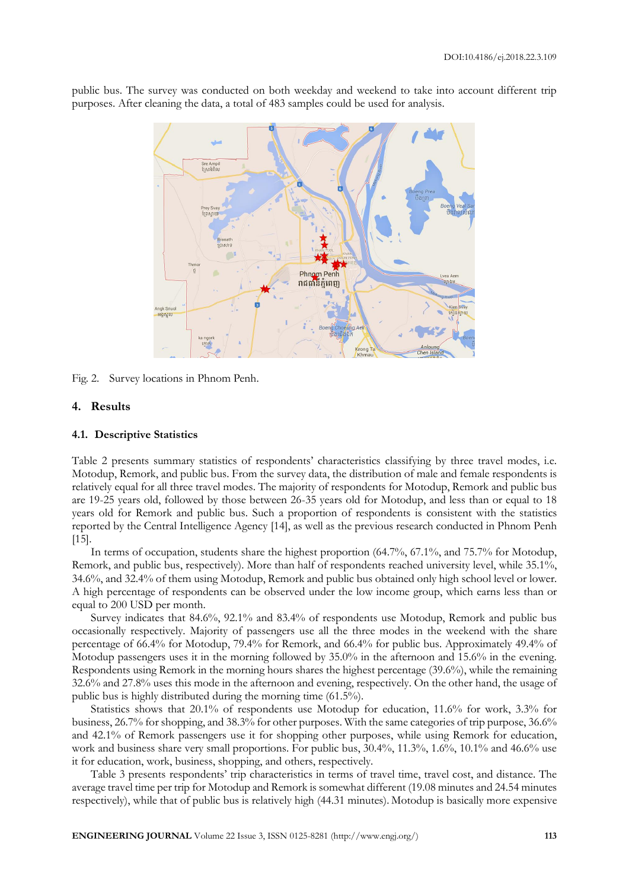Sre Amp<br>ស្រែអំពិព Phnom Penh រាជធានីភ្នំពេញ អង្គស្គា

public bus. The survey was conducted on both weekday and weekend to take into account different trip purposes. After cleaning the data, a total of 483 samples could be used for analysis.

Fig. 2. Survey locations in Phnom Penh.

#### **4. Results**

#### **4.1. Descriptive Statistics**

Table 2 presents summary statistics of respondents' characteristics classifying by three travel modes, i.e. Motodup, Remork, and public bus. From the survey data, the distribution of male and female respondents is relatively equal for all three travel modes. The majority of respondents for Motodup, Remork and public bus are 19-25 years old, followed by those between 26-35 years old for Motodup, and less than or equal to 18 years old for Remork and public bus. Such a proportion of respondents is consistent with the statistics reported by the Central Intelligence Agency [14], as well as the previous research conducted in Phnom Penh [15].

In terms of occupation, students share the highest proportion (64.7%, 67.1%, and 75.7% for Motodup, Remork, and public bus, respectively). More than half of respondents reached university level, while 35.1%, 34.6%, and 32.4% of them using Motodup, Remork and public bus obtained only high school level or lower. A high percentage of respondents can be observed under the low income group, which earns less than or equal to 200 USD per month.

Survey indicates that 84.6%, 92.1% and 83.4% of respondents use Motodup, Remork and public bus occasionally respectively. Majority of passengers use all the three modes in the weekend with the share percentage of 66.4% for Motodup, 79.4% for Remork, and 66.4% for public bus. Approximately 49.4% of Motodup passengers uses it in the morning followed by 35.0% in the afternoon and 15.6% in the evening. Respondents using Remork in the morning hours shares the highest percentage (39.6%), while the remaining 32.6% and 27.8% uses this mode in the afternoon and evening, respectively. On the other hand, the usage of public bus is highly distributed during the morning time (61.5%).

Statistics shows that 20.1% of respondents use Motodup for education, 11.6% for work, 3.3% for business, 26.7% for shopping, and 38.3% for other purposes. With the same categories of trip purpose, 36.6% and 42.1% of Remork passengers use it for shopping other purposes, while using Remork for education, work and business share very small proportions. For public bus, 30.4%, 11.3%, 1.6%, 10.1% and 46.6% use it for education, work, business, shopping, and others, respectively.

Table 3 presents respondents' trip characteristics in terms of travel time, travel cost, and distance. The average travel time per trip for Motodup and Remork is somewhat different (19.08 minutes and 24.54 minutes respectively), while that of public bus is relatively high (44.31 minutes). Motodup is basically more expensive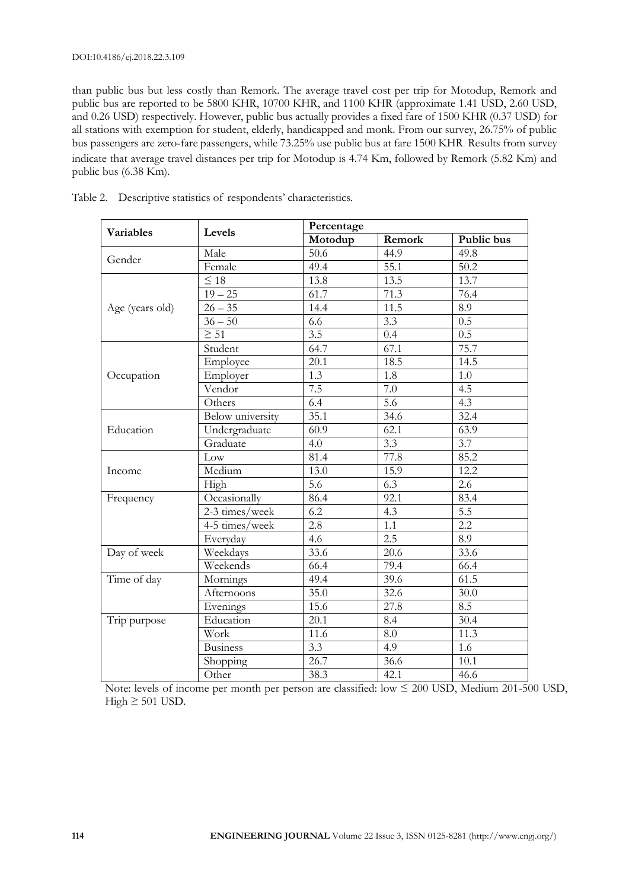than public bus but less costly than Remork. The average travel cost per trip for Motodup, Remork and public bus are reported to be 5800 KHR, 10700 KHR, and 1100 KHR (approximate 1.41 USD, 2.60 USD, and 0.26 USD) respectively. However, public bus actually provides a fixed fare of 1500 KHR (0.37 USD) for all stations with exemption for student, elderly, handicapped and monk. From our survey, 26.75% of public bus passengers are zero-fare passengers, while 73.25% use public bus at fare 1500 KHR. Results from survey indicate that average travel distances per trip for Motodup is 4.74 Km, followed by Remork (5.82 Km) and public bus (6.38 Km).

| <b>Variables</b> | Levels                  | Percentage       |                                                                                                                                                                                                                                                                                                                                                                                                                                                                                                 |            |  |
|------------------|-------------------------|------------------|-------------------------------------------------------------------------------------------------------------------------------------------------------------------------------------------------------------------------------------------------------------------------------------------------------------------------------------------------------------------------------------------------------------------------------------------------------------------------------------------------|------------|--|
|                  |                         | Motodup          | Remork                                                                                                                                                                                                                                                                                                                                                                                                                                                                                          | Public bus |  |
| Gender           | Male                    | 50.6             | 44.9                                                                                                                                                                                                                                                                                                                                                                                                                                                                                            | 49.8       |  |
|                  | Female                  | 49.4             | 55.1                                                                                                                                                                                                                                                                                                                                                                                                                                                                                            | 50.2       |  |
|                  | $\leq 18$               | 13.8             | 13.5                                                                                                                                                                                                                                                                                                                                                                                                                                                                                            | 13.7       |  |
|                  | $19 - 25$               | 61.7             | 71.3                                                                                                                                                                                                                                                                                                                                                                                                                                                                                            | 76.4       |  |
| Age (years old)  | $26 - 35$               | 14.4             | 11.5                                                                                                                                                                                                                                                                                                                                                                                                                                                                                            | 8.9        |  |
|                  | $36 - 50$               | 6.6              | $\overline{3.3}$                                                                                                                                                                                                                                                                                                                                                                                                                                                                                | 0.5        |  |
|                  | $\geq 51$               | $\overline{3.5}$ | $\overline{0.5}$<br>0.4<br>75.7<br>67.1<br>18.5<br>14.5<br>1.8<br>1.0<br>7.0<br>4.5<br>$\overline{5.6}$<br>4.3<br>32.4<br>$\frac{1}{34.6}$<br>62.1<br>63.9<br>3.3<br>3.7<br>77.8<br>85.2<br>12.2<br>15.9<br>$2.\overline{6}$<br>6.3<br>92.1<br>83.4<br>$\overline{5.5}$<br>4.3<br>$\overline{2.2}$<br>1.1<br>2.5<br>$\overline{8.9}$<br>33.6<br>20.6<br>79.4<br>66.4<br>61.5<br>39.6<br>32.6<br>30.0<br>27.8<br>8.5<br>30.4<br>8.4<br>11.3<br>8.0<br>4.9<br>1.6<br>36.6<br>10.1<br>42.1<br>46.6 |            |  |
|                  | Student                 | 64.7             |                                                                                                                                                                                                                                                                                                                                                                                                                                                                                                 |            |  |
|                  | Employee                | 20.1             |                                                                                                                                                                                                                                                                                                                                                                                                                                                                                                 |            |  |
| Occupation       | Employer                | 1.3              |                                                                                                                                                                                                                                                                                                                                                                                                                                                                                                 |            |  |
|                  | Vendor                  | 7.5              |                                                                                                                                                                                                                                                                                                                                                                                                                                                                                                 |            |  |
|                  | Others                  | 6.4              |                                                                                                                                                                                                                                                                                                                                                                                                                                                                                                 |            |  |
|                  | <b>Below</b> university | 35.1             |                                                                                                                                                                                                                                                                                                                                                                                                                                                                                                 |            |  |
| Education        | Undergraduate           | 60.9             |                                                                                                                                                                                                                                                                                                                                                                                                                                                                                                 |            |  |
|                  | Graduate                | 4.0              |                                                                                                                                                                                                                                                                                                                                                                                                                                                                                                 |            |  |
|                  | Low                     | 81.4             |                                                                                                                                                                                                                                                                                                                                                                                                                                                                                                 |            |  |
| Income           | Medium                  | 13.0             |                                                                                                                                                                                                                                                                                                                                                                                                                                                                                                 |            |  |
|                  | High                    | 5.6              |                                                                                                                                                                                                                                                                                                                                                                                                                                                                                                 |            |  |
| Frequency        | Occasionally            | 86.4             |                                                                                                                                                                                                                                                                                                                                                                                                                                                                                                 |            |  |
|                  | 2-3 times/week          | 6.2              |                                                                                                                                                                                                                                                                                                                                                                                                                                                                                                 |            |  |
|                  | 4-5 times/week          | 2.8              |                                                                                                                                                                                                                                                                                                                                                                                                                                                                                                 |            |  |
|                  | Everyday                | 4.6              |                                                                                                                                                                                                                                                                                                                                                                                                                                                                                                 |            |  |
| Day of week      | Weekdays                | 33.6             |                                                                                                                                                                                                                                                                                                                                                                                                                                                                                                 |            |  |
|                  | Weekends                | 66.4             |                                                                                                                                                                                                                                                                                                                                                                                                                                                                                                 |            |  |
| Time of day      | Mornings                | 49.4             |                                                                                                                                                                                                                                                                                                                                                                                                                                                                                                 |            |  |
|                  | Afternoons              | 35.0             |                                                                                                                                                                                                                                                                                                                                                                                                                                                                                                 |            |  |
|                  | Evenings                | 15.6             |                                                                                                                                                                                                                                                                                                                                                                                                                                                                                                 |            |  |
| Trip purpose     | Education               | 20.1             |                                                                                                                                                                                                                                                                                                                                                                                                                                                                                                 |            |  |
|                  | Work                    | 11.6             |                                                                                                                                                                                                                                                                                                                                                                                                                                                                                                 |            |  |
|                  | <b>Business</b>         | 3.3              |                                                                                                                                                                                                                                                                                                                                                                                                                                                                                                 |            |  |
|                  | Shopping                | $\frac{1}{26.7}$ |                                                                                                                                                                                                                                                                                                                                                                                                                                                                                                 |            |  |
|                  | Other                   | 38.3             |                                                                                                                                                                                                                                                                                                                                                                                                                                                                                                 |            |  |

Table 2. Descriptive statistics of respondents' characteristics.

Note: levels of income per month per person are classified: low ≤ 200 USD, Medium 201-500 USD, High  $\geq 501$  USD.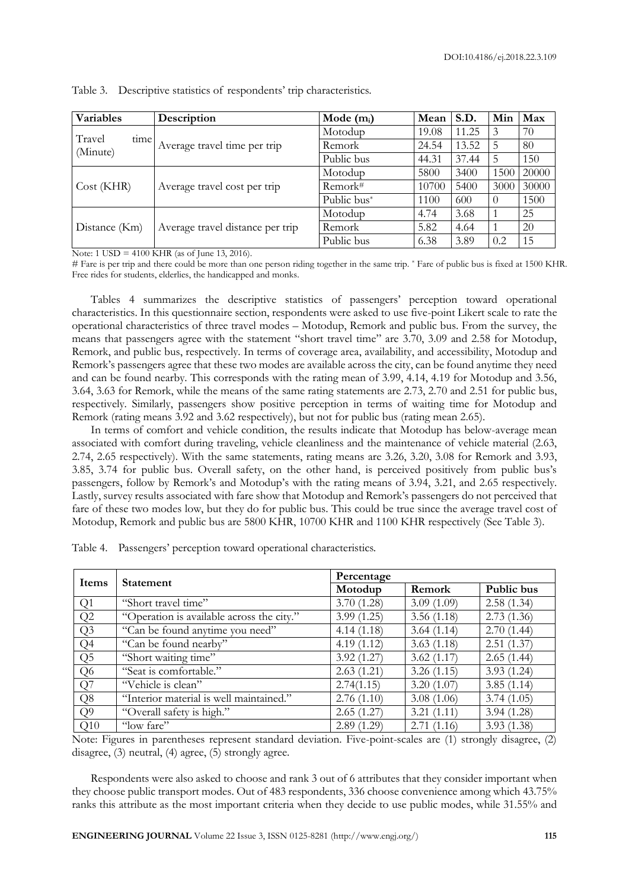| <b>Variables</b>           | Description                      | Mode $(m_i)$ | Mean  | S.D.  | Min      | Max   |
|----------------------------|----------------------------------|--------------|-------|-------|----------|-------|
| Travel<br>time<br>(Minute) |                                  | Motodup      | 19.08 | 11.25 | 3        | 70    |
|                            | Average travel time per trip     | Remork       | 24.54 | 13.52 |          | 80    |
|                            |                                  | Public bus   | 44.31 | 37.44 | 5        | 150   |
| Cost(KHR)                  |                                  | Motodup      | 5800  | 3400  | 1500     | 20000 |
|                            | Average travel cost per trip     | Remork#      | 10700 | 5400  | 3000     | 30000 |
|                            |                                  | Public bus*  | 1100  | 600   | $\theta$ | 1500  |
| Distance (Km)              |                                  | Motodup      | 4.74  | 3.68  |          | 25    |
|                            | Average travel distance per trip | Remork       | 5.82  | 4.64  |          | 20    |
|                            |                                  | Public bus   | 6.38  | 3.89  | 0.2      | 15    |

Table 3. Descriptive statistics of respondents' trip characteristics.

Note: 1 USD = 4100 KHR (as of June 13, 2016).

# Fare is per trip and there could be more than one person riding together in the same trip. \* Fare of public bus is fixed at 1500 KHR. Free rides for students, elderlies, the handicapped and monks.

Tables 4 summarizes the descriptive statistics of passengers' perception toward operational characteristics. In this questionnaire section, respondents were asked to use five-point Likert scale to rate the operational characteristics of three travel modes – Motodup, Remork and public bus. From the survey, the means that passengers agree with the statement "short travel time" are 3.70, 3.09 and 2.58 for Motodup, Remork, and public bus, respectively. In terms of coverage area, availability, and accessibility, Motodup and Remork's passengers agree that these two modes are available across the city, can be found anytime they need and can be found nearby. This corresponds with the rating mean of 3.99, 4.14, 4.19 for Motodup and 3.56, 3.64, 3.63 for Remork, while the means of the same rating statements are 2.73, 2.70 and 2.51 for public bus, respectively. Similarly, passengers show positive perception in terms of waiting time for Motodup and Remork (rating means 3.92 and 3.62 respectively), but not for public bus (rating mean 2.65).

In terms of comfort and vehicle condition, the results indicate that Motodup has below-average mean associated with comfort during traveling, vehicle cleanliness and the maintenance of vehicle material (2.63, 2.74, 2.65 respectively). With the same statements, rating means are 3.26, 3.20, 3.08 for Remork and 3.93, 3.85, 3.74 for public bus. Overall safety, on the other hand, is perceived positively from public bus's passengers, follow by Remork's and Motodup's with the rating means of 3.94, 3.21, and 2.65 respectively. Lastly, survey results associated with fare show that Motodup and Remork's passengers do not perceived that fare of these two modes low, but they do for public bus. This could be true since the average travel cost of Motodup, Remork and public bus are 5800 KHR, 10700 KHR and 1100 KHR respectively (See Table 3).

| Items          | <b>Statement</b>                          | Percentage |            |            |  |  |
|----------------|-------------------------------------------|------------|------------|------------|--|--|
|                |                                           | Motodup    | Remork     | Public bus |  |  |
| Q1             | "Short travel time"                       | 3.70(1.28) | 3.09(1.09) | 2.58(1.34) |  |  |
| Q2             | "Operation is available across the city." | 3.99(1.25) | 3.56(1.18) | 2.73(1.36) |  |  |
| Q <sub>3</sub> | "Can be found anytime you need"           | 4.14(1.18) | 3.64(1.14) | 2.70(1.44) |  |  |
| Q <sub>4</sub> | "Can be found nearby"                     | 4.19(1.12) | 3.63(1.18) | 2.51(1.37) |  |  |
| Q <sub>5</sub> | "Short waiting time"                      | 3.92(1.27) | 3.62(1.17) | 2.65(1.44) |  |  |
| Q <sub>6</sub> | "Seat is comfortable."                    | 2.63(1.21) | 3.26(1.15) | 3.93(1.24) |  |  |
| Q7             | "Vehicle is clean"                        | 2.74(1.15) | 3.20(1.07) | 3.85(1.14) |  |  |
| Q8             | "Interior material is well maintained."   | 2.76(1.10) | 3.08(1.06) | 3.74(1.05) |  |  |
| Q <sub>9</sub> | "Overall safety is high."                 | 2.65(1.27) | 3.21(1.11) | 3.94(1.28) |  |  |
| Q10            | "low fare"                                | 2.89(1.29) | 2.71(1.16) | 3.93(1.38) |  |  |

Table 4. Passengers' perception toward operational characteristics.

Note: Figures in parentheses represent standard deviation. Five-point-scales are (1) strongly disagree, (2) disagree, (3) neutral, (4) agree, (5) strongly agree.

Respondents were also asked to choose and rank 3 out of 6 attributes that they consider important when they choose public transport modes. Out of 483 respondents, 336 choose convenience among which 43.75% ranks this attribute as the most important criteria when they decide to use public modes, while 31.55% and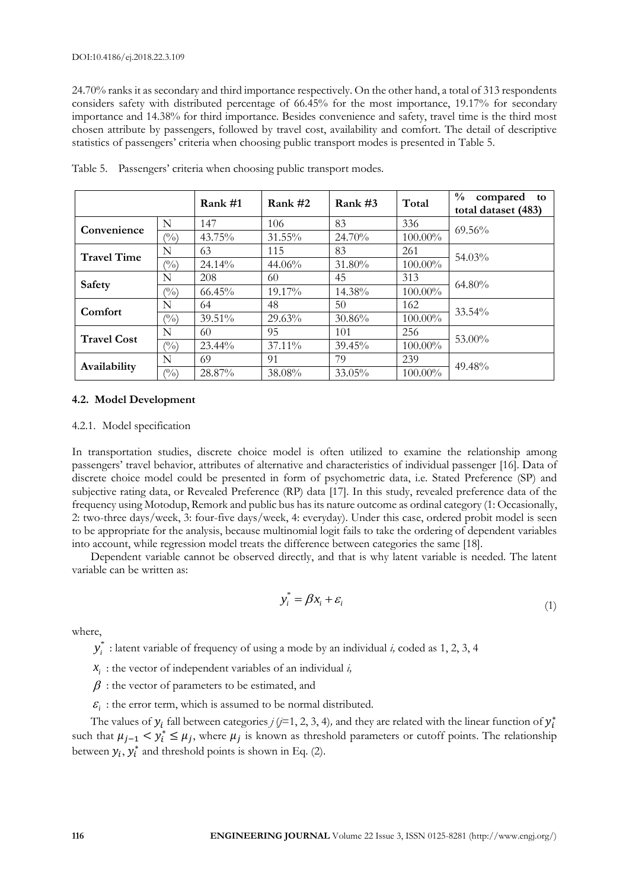24.70% ranks it as secondary and third importance respectively. On the other hand, a total of 313 respondents considers safety with distributed percentage of 66.45% for the most importance, 19.17% for secondary importance and 14.38% for third importance. Besides convenience and safety, travel time is the third most chosen attribute by passengers, followed by travel cost, availability and comfort. The detail of descriptive statistics of passengers' criteria when choosing public transport modes is presented in Table 5.

|                    |                | Rank $#1$ | Rank $#2$ | Rank $#3$ | Total      | $\frac{0}{0}$<br>compared<br>to<br>total dataset (483) |
|--------------------|----------------|-----------|-----------|-----------|------------|--------------------------------------------------------|
| Convenience        | N              | 147       | 106       | 83        | 336        | $69.56\%$                                              |
|                    | $\binom{0}{0}$ | 43.75%    | 31.55%    | 24.70%    | 100.00%    |                                                        |
| <b>Travel Time</b> | N              | 63        | 115       | 83        | 261        | 54.03%                                                 |
|                    | $\binom{0}{0}$ | 24.14%    | 44.06%    | 31.80%    | $100.00\%$ |                                                        |
|                    | N              | 208       | 60        | 45        | 313        | $64.80\%$                                              |
| Safety             | $\binom{0}{0}$ | 66.45%    | 19.17%    | 14.38%    | 100.00%    |                                                        |
| Comfort            | N              | 64        | 48        | 50        | 162        | 33.54%                                                 |
|                    | $\binom{0}{0}$ | 39.51%    | 29.63%    | 30.86%    | 100.00%    |                                                        |
| <b>Travel Cost</b> | N              | 60        | 95        | 101       | 256        | 53.00%                                                 |
|                    | $\binom{0}{0}$ | 23.44%    | $37.11\%$ | 39.45%    | 100.00%    |                                                        |
| Availability       | N              | 69        | 91        | 79        | 239        |                                                        |
|                    | $\binom{0}{0}$ | 28.87%    | 38.08%    | 33.05%    | 100.00%    | 49.48%                                                 |

Table 5. Passengers' criteria when choosing public transport modes.

## **4.2. Model Development**

#### 4.2.1. Model specification

In transportation studies, discrete choice model is often utilized to examine the relationship among passengers' travel behavior, attributes of alternative and characteristics of individual passenger [16]. Data of discrete choice model could be presented in form of psychometric data, i.e. Stated Preference (SP) and subjective rating data, or Revealed Preference (RP) data [17]. In this study, revealed preference data of the frequency using Motodup, Remork and public bus has its nature outcome as ordinal category (1: Occasionally, 2: two-three days/week, 3: four-five days/week, 4: everyday). Under this case, ordered probit model is seen to be appropriate for the analysis, because multinomial logit fails to take the ordering of dependent variables into account, while regression model treats the difference between categories the same [18].

Dependent variable cannot be observed directly, and that is why latent variable is needed. The latent variable can be written as:

$$
y_i^* = \beta x_i + \varepsilon_i \tag{1}
$$

where,

\*  $y_i^*$  : latent variable of frequency of using a mode by an individual *i*, coded as 1, 2, 3, 4

*i x* : the vector of independent variables of an individual *i,*

 $\beta$ : the vector of parameters to be estimated, and

 $\mathcal{E}_i$ : the error term, which is assumed to be normal distributed.

The values of  $y_i$  fall between categories  $j$  ( $j$ =1, 2, 3, 4), and they are related with the linear function of  $y_i^\ast$ such that  $\mu_{j-1} < y_i^* \le \mu_j$ , where  $\mu_j$  is known as threshold parameters or cutoff points. The relationship between  $y_i$ ,  $y_i^*$  and threshold points is shown in Eq. (2).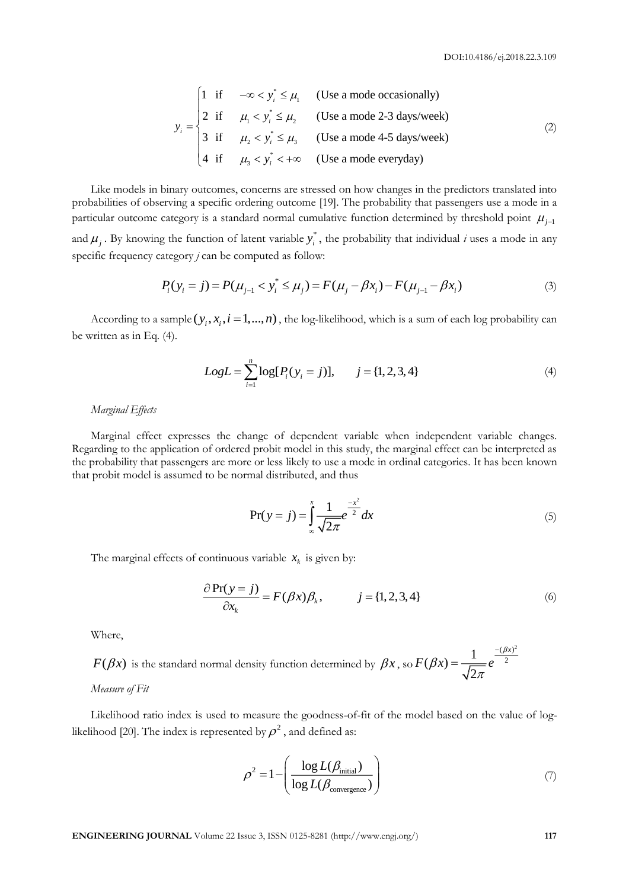$$
y_i = \begin{cases} 1 & \text{if } -\infty < y_i^* \le \mu_1 \\ 2 & \text{if } \mu_1 < y_i^* \le \mu_2 \\ 3 & \text{if } \mu_2 < y_i^* \le \mu_3 \\ 4 & \text{if } \mu_3 < y_i^* < +\infty \end{cases}
$$
 (Use a mode 2-3 days/week) (2)

Like models in binary outcomes, concerns are stressed on how changes in the predictors translated into probabilities of observing a specific ordering outcome [19]. The probability that passengers use a mode in a particular outcome category is a standard normal cumulative function determined by threshold point  $\mu_{j-1}$ and  $\mu_j$ . By knowing the function of latent variable  $y_i^*$ , the probability that individual *i* uses a mode in any specific frequency category *j* can be computed as follow:

$$
P_i(y_i = j) = P(\mu_{j-1} < y_i^* \le \mu_j) = F(\mu_j - \beta x_i) - F(\mu_{j-1} - \beta x_i) \tag{3}
$$

According to a sample  $(y_i, x_i, i = 1, ..., n)$ , the log-likelihood, which is a sum of each log probability can be written as in Eq. (4).

$$
Log L = \sum_{i=1}^{n} \log[P_i(y_i = j)], \qquad j = \{1, 2, 3, 4\}
$$
 (4)

*Marginal Effects*

Marginal effect expresses the change of dependent variable when independent variable changes. Regarding to the application of ordered probit model in this study, the marginal effect can be interpreted as the probability that passengers are more or less likely to use a mode in ordinal categories. It has been known that probit model is assumed to be normal distributed, and thus

$$
Pr(y = j) = \int_{-\infty}^{x} \frac{1}{\sqrt{2\pi}} e^{-\frac{x^2}{2}} dx
$$
 (5)

The marginal effects of continuous variable  $x_k$  is given by:

$$
\frac{\partial \Pr(y=j)}{\partial x_k} = F(\beta x) \beta_k, \qquad j = \{1, 2, 3, 4\} \tag{6}
$$

Where,

 $F(\beta x)$  is the standard normal density function determined by  $\beta x$  , so  $(\beta x)^2$  $(\beta x) = \frac{1}{\sqrt{2}} e^{-\frac{(\beta x)^2}{2}}$  $\overline{c}$  $F(\beta x) = \frac{1}{\sqrt{2}} e^{-\frac{(\beta x)^2}{2}}$  $\beta$ π i,  $=$ 

*Measure of Fit*

Likelihood ratio index is used to measure the goodness-of-fit of the model based on the value of loglikelihood [20]. The index is represented by  $\rho^2$  , and defined as:

$$
\rho^2 = 1 - \left(\frac{\log L(\beta_{\text{initial}})}{\log L(\beta_{\text{convergence}})}\right)
$$
(7)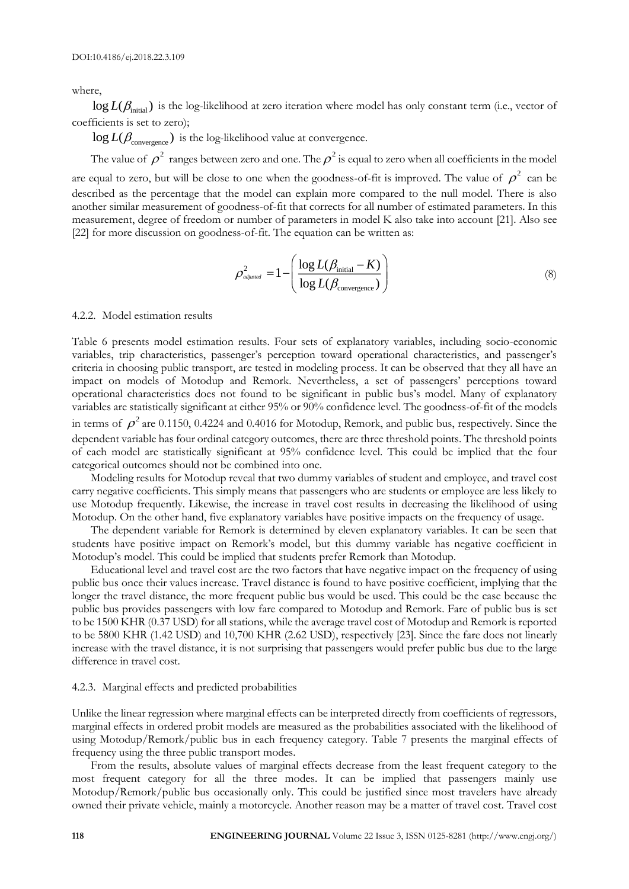where,

 $\log L(\beta_\text{initial})$  is the log-likelihood at zero iteration where model has only constant term (i.e., vector of coefficients is set to zero);

 $\log L(\beta_{\rm convergence})$  is the log-likelihood value at convergence.

The value of  $\rho^2$  ranges between zero and one. The  $\rho^2$  is equal to zero when all coefficients in the model

are equal to zero, but will be close to one when the goodness-of-fit is improved. The value of  $\rho^2$  can be described as the percentage that the model can explain more compared to the null model. There is also another similar measurement of goodness-of-fit that corrects for all number of estimated parameters. In this measurement, degree of freedom or number of parameters in model K also take into account [21]. Also see [22] for more discussion on goodness-of-fit. The equation can be written as:

$$
\rho_{\textit{adjusted}}^2 = 1 - \left( \frac{\log L(\beta_{\text{initial}} - K)}{\log L(\beta_{\text{convergence}})} \right)
$$
\n(8)

#### 4.2.2. Model estimation results

Table 6 presents model estimation results. Four sets of explanatory variables, including socio-economic variables, trip characteristics, passenger's perception toward operational characteristics, and passenger's criteria in choosing public transport, are tested in modeling process. It can be observed that they all have an impact on models of Motodup and Remork. Nevertheless, a set of passengers' perceptions toward operational characteristics does not found to be significant in public bus's model. Many of explanatory variables are statistically significant at either 95% or 90% confidence level. The goodness-of-fit of the models

in terms of  $\rho^2$  are 0.1150, 0.4224 and 0.4016 for Motodup, Remork, and public bus, respectively. Since the dependent variable has four ordinal category outcomes, there are three threshold points. The threshold points of each model are statistically significant at 95% confidence level. This could be implied that the four categorical outcomes should not be combined into one.

Modeling results for Motodup reveal that two dummy variables of student and employee, and travel cost carry negative coefficients. This simply means that passengers who are students or employee are less likely to use Motodup frequently. Likewise, the increase in travel cost results in decreasing the likelihood of using Motodup. On the other hand, five explanatory variables have positive impacts on the frequency of usage.

The dependent variable for Remork is determined by eleven explanatory variables. It can be seen that students have positive impact on Remork's model, but this dummy variable has negative coefficient in Motodup's model. This could be implied that students prefer Remork than Motodup.

Educational level and travel cost are the two factors that have negative impact on the frequency of using public bus once their values increase. Travel distance is found to have positive coefficient, implying that the longer the travel distance, the more frequent public bus would be used. This could be the case because the public bus provides passengers with low fare compared to Motodup and Remork. Fare of public bus is set to be 1500 KHR (0.37 USD) for all stations, while the average travel cost of Motodup and Remork is reported to be 5800 KHR (1.42 USD) and 10,700 KHR (2.62 USD), respectively [23]. Since the fare does not linearly increase with the travel distance, it is not surprising that passengers would prefer public bus due to the large difference in travel cost.

#### 4.2.3. Marginal effects and predicted probabilities

Unlike the linear regression where marginal effects can be interpreted directly from coefficients of regressors, marginal effects in ordered probit models are measured as the probabilities associated with the likelihood of using Motodup/Remork/public bus in each frequency category. Table 7 presents the marginal effects of frequency using the three public transport modes.

From the results, absolute values of marginal effects decrease from the least frequent category to the most frequent category for all the three modes. It can be implied that passengers mainly use Motodup/Remork/public bus occasionally only. This could be justified since most travelers have already owned their private vehicle, mainly a motorcycle. Another reason may be a matter of travel cost. Travel cost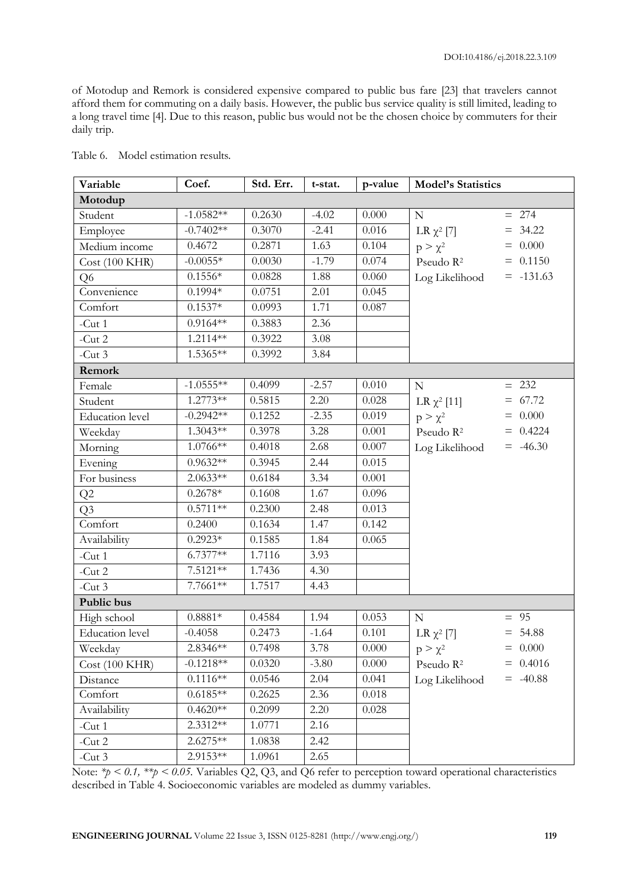of Motodup and Remork is considered expensive compared to public bus fare [23] that travelers cannot afford them for commuting on a daily basis. However, the public bus service quality is still limited, leading to a long travel time [4]. Due to this reason, public bus would not be the chosen choice by commuters for their daily trip.

| Variable               | Coef.       | Std. Err. | t-stat. | p-value   | <b>Model's Statistics</b> |              |  |
|------------------------|-------------|-----------|---------|-----------|---------------------------|--------------|--|
| Motodup                |             |           |         |           |                           |              |  |
| Student                | $-1.0582**$ | 0.2630    | $-4.02$ | 0.000     | $\mathbf N$               | $= 274$      |  |
| Employee               | $-0.7402**$ | 0.3070    | $-2.41$ | 0.016     | LR $\chi^2$ [7]           | 34.22<br>$=$ |  |
| Medium income          | 0.4672      | 0.2871    | 1.63    | 0.104     | $p > \chi^2$              | $= 0.000$    |  |
| Cost(100 KHR)          | $-0.0055*$  | 0.0030    | $-1.79$ | 0.074     | Pseudo R <sup>2</sup>     | $= 0.1150$   |  |
| Q6                     | $0.1556*$   | 0.0828    | 1.88    | 0.060     | Log Likelihood            | $= -131.63$  |  |
| Convenience            | $0.1994*$   | 0.0751    | 2.01    | 0.045     |                           |              |  |
| Comfort                | $0.1537*$   | 0.0993    | 1.71    | 0.087     |                           |              |  |
| $-Cut1$                | $0.9164**$  | 0.3883    | 2.36    |           |                           |              |  |
| $-Cut2$                | 1.2114**    | 0.3922    | 3.08    |           |                           |              |  |
| $-Cut3$                | 1.5365**    | 0.3992    | 3.84    |           |                           |              |  |
| Remork                 |             |           |         |           |                           |              |  |
| Female                 | $-1.0555**$ | 0.4099    | $-2.57$ | 0.010     | ${\bf N}$                 | $= 232$      |  |
| Student                | $1.2773**$  | 0.5815    | 2.20    | 0.028     | LR $χ²$ [11]              | $= 67.72$    |  |
| <b>Education</b> level | $-0.2942**$ | 0.1252    | $-2.35$ | 0.019     | $p > \chi^2$              | 0.000        |  |
| Weekday                | $1.3043**$  | 0.3978    | 3.28    | 0.001     | Pseudo R <sup>2</sup>     | $= 0.4224$   |  |
| Morning                | 1.0766**    | 0.4018    | 2.68    | 0.007     | Log Likelihood            | $= -46.30$   |  |
| Evening                | $0.9632**$  | 0.3945    | 2.44    | 0.015     |                           |              |  |
| For business           | $2.0633**$  | 0.6184    | 3.34    | 0.001     |                           |              |  |
| Q2                     | $0.2678*$   | 0.1608    | 1.67    | 0.096     |                           |              |  |
| Q <sub>3</sub>         | $0.5711**$  | 0.2300    | 2.48    | 0.013     |                           |              |  |
| Comfort                | 0.2400      | 0.1634    | 1.47    | 0.142     |                           |              |  |
| Availability           | $0.2923*$   | 0.1585    | 1.84    | 0.065     |                           |              |  |
| $-Cut1$                | $6.7377**$  | 1.7116    | 3.93    |           |                           |              |  |
| $-Cut2$                | $7.5121**$  | 1.7436    | 4.30    |           |                           |              |  |
| $-Cut3$                | 7.7661**    | 1.7517    | 4.43    |           |                           |              |  |
| Public bus             |             |           |         |           |                           |              |  |
| High school            | $0.8881*$   | 0.4584    | 1.94    | 0.053     | $\mathbf N$               | $= 95$       |  |
| <b>Education</b> level | $-0.4058$   | 0.2473    | $-1.64$ | 0.101     | LR $\chi^2$ [7]           | $= 54.88$    |  |
| Weekday                | 2.8346 **   | 0.7498    | 3.78    | $0.000\,$ | $p > \chi^2$              | $= 0.000$    |  |
| Cost(100 KHR)          | $-0.1218**$ | 0.0320    | $-3.80$ | 0.000     | Pseudo R <sup>2</sup>     | $= 0.4016$   |  |
| Distance               | $0.1116**$  | 0.0546    | 2.04    | 0.041     | Log Likelihood            | $= 40.88$    |  |
| Comfort                | $0.6185**$  | 0.2625    | 2.36    | 0.018     |                           |              |  |
| Availability           | $0.4620**$  | 0.2099    | 2.20    | 0.028     |                           |              |  |
| $-Cut1$                | 2.3312**    | 1.0771    | 2.16    |           |                           |              |  |
| - $Cut 2$              | $2.6275**$  | 1.0838    | 2.42    |           |                           |              |  |
| $-Cut3$                | 2.9153**    | 1.0961    | 2.65    |           |                           |              |  |

Table 6. Model estimation results.

Note: *\*p* < 0.1, *\*\*p* < 0.05. Variables Q2, Q3, and Q6 refer to perception toward operational characteristics described in Table 4. Socioeconomic variables are modeled as dummy variables.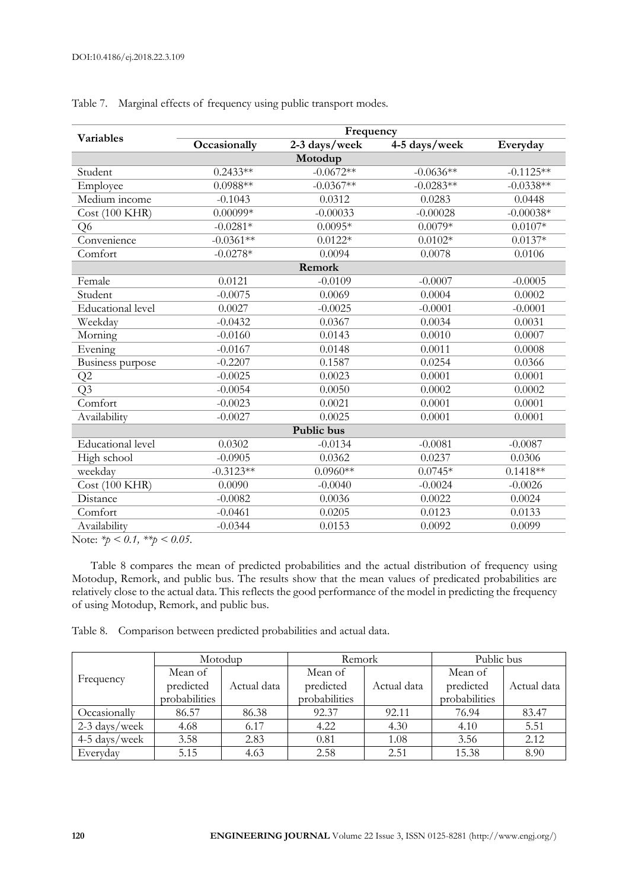|                                                 | Frequency    |               |               |             |  |  |  |  |  |
|-------------------------------------------------|--------------|---------------|---------------|-------------|--|--|--|--|--|
| <b>Variables</b>                                | Occasionally | 2-3 days/week | 4-5 days/week | Everyday    |  |  |  |  |  |
| Motodup                                         |              |               |               |             |  |  |  |  |  |
| Student                                         | $0.2433**$   | $-0.0672**$   | $-0.0636**$   | $-0.1125**$ |  |  |  |  |  |
| Employee                                        | $0.0988**$   | $-0.0367**$   | $-0.0283**$   | $-0.0338**$ |  |  |  |  |  |
| Medium income                                   | $-0.1043$    | 0.0312        | 0.0283        | 0.0448      |  |  |  |  |  |
| <b>Cost (100 KHR)</b>                           | $0.00099*$   | $-0.00033$    | $-0.00028$    | $-0.00038*$ |  |  |  |  |  |
| Q <sub>6</sub>                                  | $-0.0281*$   | $0.0095*$     | $0.0079*$     | $0.0107*$   |  |  |  |  |  |
| Convenience                                     | $-0.0361**$  | $0.0122*$     | $0.0102*$     | $0.0137*$   |  |  |  |  |  |
| Comfort                                         | $-0.0278*$   | 0.0094        | 0.0078        | 0.0106      |  |  |  |  |  |
|                                                 |              | Remork        |               |             |  |  |  |  |  |
| Female                                          | 0.0121       | $-0.0109$     | $-0.0007$     | $-0.0005$   |  |  |  |  |  |
| Student                                         | $-0.0075$    | 0.0069        | 0.0004        | 0.0002      |  |  |  |  |  |
| Educational level                               | 0.0027       | $-0.0025$     | $-0.0001$     | $-0.0001$   |  |  |  |  |  |
| Weekday                                         | $-0.0432$    | 0.0367        | 0.0034        | 0.0031      |  |  |  |  |  |
| Morning                                         | $-0.0160$    | 0.0143        | 0.0010        | 0.0007      |  |  |  |  |  |
| $\overline{E}$ vening                           | $-0.0167$    | 0.0148        | 0.0011        | 0.0008      |  |  |  |  |  |
| Business purpose                                | $-0.2207$    | 0.1587        | 0.0254        | 0.0366      |  |  |  |  |  |
| Q2                                              | $-0.0025$    | 0.0023        | 0.0001        | 0.0001      |  |  |  |  |  |
| Q <sub>3</sub>                                  | $-0.0054$    | 0.0050        | 0.0002        | 0.0002      |  |  |  |  |  |
| Comfort                                         | $-0.0023$    | 0.0021        | 0.0001        | 0.0001      |  |  |  |  |  |
| Availability                                    | $-0.0027$    | 0.0025        | 0.0001        | 0.0001      |  |  |  |  |  |
|                                                 |              | Public bus    |               |             |  |  |  |  |  |
| <b>Educational</b> level                        | 0.0302       | $-0.0134$     | $-0.0081$     | $-0.0087$   |  |  |  |  |  |
| High school                                     | $-0.0905$    | 0.0362        | 0.0237        | 0.0306      |  |  |  |  |  |
| weekday                                         | $-0.3123**$  | $0.0960**$    | $0.0745*$     | $0.1418**$  |  |  |  |  |  |
| Cost(100 KHR)                                   | 0.0090       | $-0.0040$     | $-0.0024$     | $-0.0026$   |  |  |  |  |  |
| Distance                                        | $-0.0082$    | 0.0036        | 0.0022        | 0.0024      |  |  |  |  |  |
| Comfort                                         | $-0.0461$    | 0.0205        | 0.0123        | 0.0133      |  |  |  |  |  |
| Availability<br>$T = \sqrt{1 + (2 - 1)(3 - 1)}$ | $-0.0344$    | 0.0153        | 0.0092        | 0.0099      |  |  |  |  |  |

Table 7. Marginal effects of frequency using public transport modes.

Note: *\*p < 0.1, \*\*p < 0.05*.

Table 8 compares the mean of predicted probabilities and the actual distribution of frequency using Motodup, Remork, and public bus. The results show that the mean values of predicated probabilities are relatively close to the actual data. This reflects the good performance of the model in predicting the frequency of using Motodup, Remork, and public bus.

Table 8. Comparison between predicted probabilities and actual data.

| Frequency     | Motodup       |             | Remork        |             | Public bus    |             |
|---------------|---------------|-------------|---------------|-------------|---------------|-------------|
|               | Mean of       |             | Mean of       |             | Mean of       |             |
|               | predicted     | Actual data | predicted     | Actual data | predicted     | Actual data |
|               | probabilities |             | probabilities |             | probabilities |             |
| Occasionally  | 86.57         | 86.38       | 92.37         | 92.11       | 76.94         | 83.47       |
| 2-3 days/week | 4.68          | 6.17        | 4.22          | 4.30        | 4.10          | 5.51        |
| 4-5 days/week | 3.58          | 2.83        | 0.81          | 1.08        | 3.56          | 2.12        |
| Everyday      | 5.15          | 4.63        | 2.58          | 2.51        | 15.38         | 8.90        |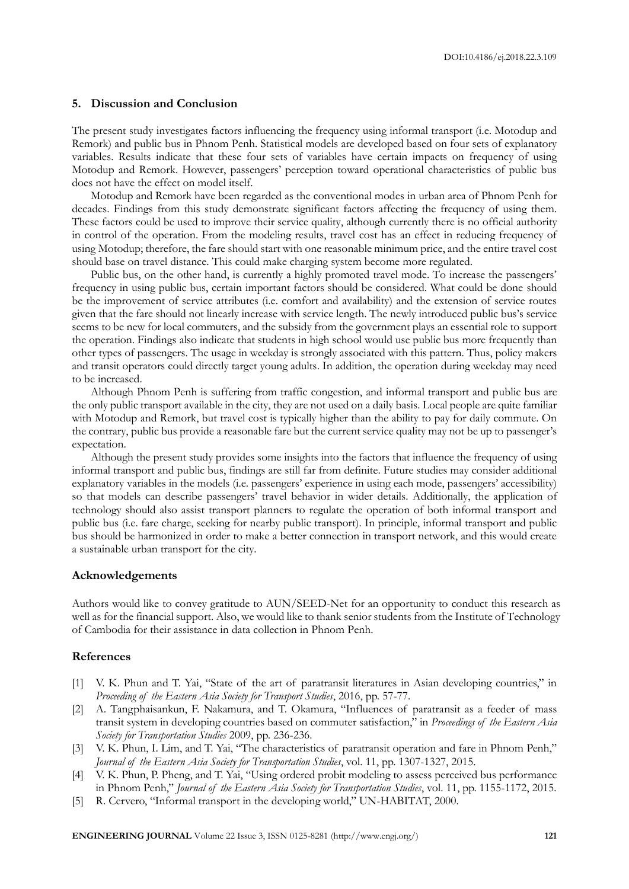## **5. Discussion and Conclusion**

The present study investigates factors influencing the frequency using informal transport (i.e. Motodup and Remork) and public bus in Phnom Penh. Statistical models are developed based on four sets of explanatory variables. Results indicate that these four sets of variables have certain impacts on frequency of using Motodup and Remork. However, passengers' perception toward operational characteristics of public bus does not have the effect on model itself.

Motodup and Remork have been regarded as the conventional modes in urban area of Phnom Penh for decades. Findings from this study demonstrate significant factors affecting the frequency of using them. These factors could be used to improve their service quality, although currently there is no official authority in control of the operation. From the modeling results, travel cost has an effect in reducing frequency of using Motodup; therefore, the fare should start with one reasonable minimum price, and the entire travel cost should base on travel distance. This could make charging system become more regulated.

Public bus, on the other hand, is currently a highly promoted travel mode. To increase the passengers' frequency in using public bus, certain important factors should be considered. What could be done should be the improvement of service attributes (i.e. comfort and availability) and the extension of service routes given that the fare should not linearly increase with service length. The newly introduced public bus's service seems to be new for local commuters, and the subsidy from the government plays an essential role to support the operation. Findings also indicate that students in high school would use public bus more frequently than other types of passengers. The usage in weekday is strongly associated with this pattern. Thus, policy makers and transit operators could directly target young adults. In addition, the operation during weekday may need to be increased.

Although Phnom Penh is suffering from traffic congestion, and informal transport and public bus are the only public transport available in the city, they are not used on a daily basis. Local people are quite familiar with Motodup and Remork, but travel cost is typically higher than the ability to pay for daily commute. On the contrary, public bus provide a reasonable fare but the current service quality may not be up to passenger's expectation.

Although the present study provides some insights into the factors that influence the frequency of using informal transport and public bus, findings are still far from definite. Future studies may consider additional explanatory variables in the models (i.e. passengers' experience in using each mode, passengers' accessibility) so that models can describe passengers' travel behavior in wider details. Additionally, the application of technology should also assist transport planners to regulate the operation of both informal transport and public bus (i.e. fare charge, seeking for nearby public transport). In principle, informal transport and public bus should be harmonized in order to make a better connection in transport network, and this would create a sustainable urban transport for the city.

#### **Acknowledgements**

Authors would like to convey gratitude to AUN/SEED-Net for an opportunity to conduct this research as well as for the financial support. Also, we would like to thank senior students from the Institute of Technology of Cambodia for their assistance in data collection in Phnom Penh.

### **References**

- [1] V. K. Phun and T. Yai, "State of the art of paratransit literatures in Asian developing countries," in *Proceeding of the Eastern Asia Society for Transport Studies*, 2016, pp. 57-77.
- [2] A. Tangphaisankun, F. Nakamura, and T. Okamura, "Influences of paratransit as a feeder of mass transit system in developing countries based on commuter satisfaction," in *Proceedings of the Eastern Asia Society for Transportation Studies* 2009, pp. 236-236.
- [3] V. K. Phun, I. Lim, and T. Yai, "The characteristics of paratransit operation and fare in Phnom Penh," *Journal of the Eastern Asia Society for Transportation Studies*, vol. 11, pp. 1307-1327, 2015.
- [4] V. K. Phun, P. Pheng, and T. Yai, "Using ordered probit modeling to assess perceived bus performance in Phnom Penh," *Journal of the Eastern Asia Society for Transportation Studies*, vol. 11, pp. 1155-1172, 2015.
- [5] R. Cervero, "Informal transport in the developing world," UN-HABITAT, 2000.